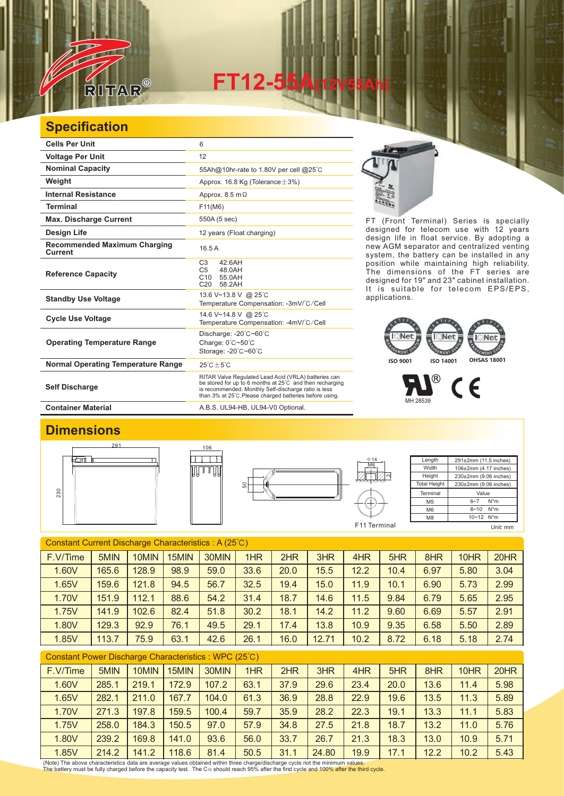

**FT12-55** 

## **Specification**

| <b>Cells Per Unit</b>                          | 6                                                                                                                                                                                                                                   |
|------------------------------------------------|-------------------------------------------------------------------------------------------------------------------------------------------------------------------------------------------------------------------------------------|
| <b>Voltage Per Unit</b>                        | 12                                                                                                                                                                                                                                  |
| <b>Nominal Capacity</b>                        | 55Ah@10hr-rate to 1.80V per cell @25°C                                                                                                                                                                                              |
| Weight                                         | Approx. 16.8 Kg (Tolerance $\pm$ 3%)                                                                                                                                                                                                |
| <b>Internal Resistance</b>                     | Approx. $8.5 \text{ m}\Omega$                                                                                                                                                                                                       |
| <b>Terminal</b>                                | F11(M6)                                                                                                                                                                                                                             |
| <b>Max. Discharge Current</b>                  | 550A (5 sec)                                                                                                                                                                                                                        |
| Design Life                                    | 12 years (Float charging)                                                                                                                                                                                                           |
| <b>Recommended Maximum Charging</b><br>Current | 16.5A                                                                                                                                                                                                                               |
| <b>Reference Capacity</b>                      | C <sub>3</sub><br>42.6AH<br>C <sub>5</sub><br>48.0AH<br>C10<br>55.0AH<br>C <sub>20</sub><br>58.2AH                                                                                                                                  |
| <b>Standby Use Voltage</b>                     | 13.6 V~13.8 V @ 25°C<br>Temperature Compensation: -3mV/°C/Cell                                                                                                                                                                      |
| <b>Cycle Use Voltage</b>                       | 14.6 V~14.8 V @ 25°C<br>Temperature Compensation: -4mV/°C/Cell                                                                                                                                                                      |
| <b>Operating Temperature Range</b>             | Discharge: -20°C~60°C<br>Charge: 0°C~50°C<br>Storage: -20°C~60°C                                                                                                                                                                    |
| <b>Normal Operating Temperature Range</b>      | $25^{\circ}$ C + 5 $^{\circ}$ C                                                                                                                                                                                                     |
| <b>Self Discharge</b>                          | RITAR Valve Regulated Lead Acid (VRLA) batteries can<br>be stored for up to 6 months at 25°C and then recharging<br>is recommended. Monthly Self-discharge ratio is less<br>than 3% at 25°C. Please charged batteries before using. |
| <b>Container Material</b>                      | A.B.S. UL94-HB, UL94-V0 Optional.                                                                                                                                                                                                   |



FT (Front Terminal) Series is specially designed for telecom use with 12 years design life in float service. By adopting a new AGM separator and centralized venting system, the battery can be installed in any position while maintaining high reliability. The dimensions of the FT series are designed for 19" and 23" cabinet installation. It is suitable for telecom EPS/EPS, applications.

## **ISO 9001 ISO 14001 OHSAS 18001**

 $^{\circledR}$  $\epsilon$ MH 28539

## **Dimensions**







Length **Width** Height Total Height 291±2mm (11.5 inches) 106±2mm (4.17 inches) 230±2mm (9.06 inches) 230±2mm (9.06 inches) **Terminal** M5 M<sub>6</sub> M8 Value 6~7 N\*m 8~10 N\*m  $10~12$  N<sup>\*</sup>m F11 Terminal Unit: mm

Constant Current Discharge Characteristics : A (25℃) Constant Power Discharge Characteristics : WPC (25℃) F.V/Time | 5MIN | 10MIN | 15MIN | 30MIN | 1HR | 2HR | 3HR | 4HR | 5HR | 8HR | 10HR | 20HR 1.60V 165.6 128.9 98.9 59.0 33.6 20.0 15.5 12.2 10.4 6.97 5.80 3.04 1.65V 159.6 121.8 94.5 56.7 32.5 19.4 15.0 11.9 10.1 6.90 5.73 2.99 1.70V | 151.9 | 112.1 | 88.6 | 54.2 | 31.4 | 18.7 | 14.6 | 11.5 | 9.84 | 6.79 | 5.65 | 2.95 1.75V | 141.9 | 102.6 | 82.4 | 51.8 | 30.2 | 18.1 | 14.2 | 11.2 | 9.60 | 6.69 | 5.57 | 2.91 1.80V | 129.3 | 92.9 | 76.1 | 49.5 | 29.1 | 17.4 | 13.8 | 10.9 | 9.35 | 6.58 | 5.50 | 2.89 1.85V | 113.7 | 75.9 | 63.1 | 42.6 | 26.1 | 16.0 | 12.71 | 10.2 | 8.72 | 6.18 | 5.18 | 2.74

| 5MIN<br>30MIN<br>4HR<br>F.V/Time<br>10MIN<br>1HR<br>2HR<br>3HR<br>5HR<br>8HR<br>20HR<br>15MIN<br>10HR<br>1.60V<br>5.98<br>63.1<br>37.9<br>29.6<br>285.1<br>172.9<br>107.2<br>23.4<br>20.0<br>13.6<br>219.1<br>11.4<br>1.65V<br>5.89<br>36.9<br>28.8<br>282.1<br>104.0<br>22.9<br>167.7<br>61.3<br>19.6<br>13.5<br>211.0<br>11.3<br>5.83<br>28.2<br>1.70V<br>35.9<br>22.3<br>197.8<br>100.4<br>59.7<br>13.3<br>271.3<br>159.5<br>19.1<br>11.1 |
|----------------------------------------------------------------------------------------------------------------------------------------------------------------------------------------------------------------------------------------------------------------------------------------------------------------------------------------------------------------------------------------------------------------------------------------------|
|                                                                                                                                                                                                                                                                                                                                                                                                                                              |
|                                                                                                                                                                                                                                                                                                                                                                                                                                              |
|                                                                                                                                                                                                                                                                                                                                                                                                                                              |
|                                                                                                                                                                                                                                                                                                                                                                                                                                              |
| 1.75V<br>5.76<br>57.9<br>258.0<br>34.8<br>13.2<br>184.3<br>150.5<br>97.0<br>27.5<br>21.8<br>18.7<br>11.0                                                                                                                                                                                                                                                                                                                                     |
| 1.80V<br>26.7<br>5.71<br>169.8<br>93.6<br>33.7<br>239.2<br>141.0<br>56.0<br>18.3<br>13.0<br>10.9<br>21.3                                                                                                                                                                                                                                                                                                                                     |
| 1.85V<br>24.80<br>19.9<br>5.43<br>214.2<br>141.2<br>118.6<br>12.2<br>10.2<br>81.4<br>50.5<br>31.1<br>17.1                                                                                                                                                                                                                                                                                                                                    |

(Note) The above characteristics data are average values obtained within three charge/discharge cycle not the minimum values.<br>The battery must be fully charged before the capacity test. The Cю should reach 95% after the f